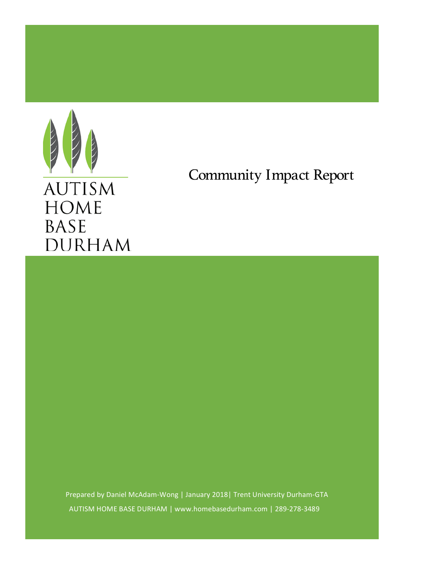

# Community Impact Report

Prepared by Daniel McAdam-Wong | January 2018| Trent University Durham-GTA AUTISM HOME BASE DURHAM | www.homebasedurham.com | 289-278-3489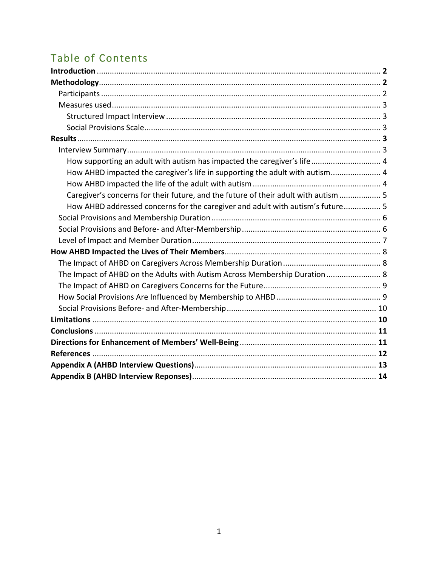# Table of Contents

| How supporting an adult with autism has impacted the caregiver's life 4             |  |
|-------------------------------------------------------------------------------------|--|
| How AHBD impacted the caregiver's life in supporting the adult with autism 4        |  |
|                                                                                     |  |
| Caregiver's concerns for their future, and the future of their adult with autism  5 |  |
| How AHBD addressed concerns for the caregiver and adult with autism's future 5      |  |
|                                                                                     |  |
|                                                                                     |  |
|                                                                                     |  |
|                                                                                     |  |
|                                                                                     |  |
| The Impact of AHBD on the Adults with Autism Across Membership Duration 8           |  |
|                                                                                     |  |
|                                                                                     |  |
|                                                                                     |  |
|                                                                                     |  |
|                                                                                     |  |
|                                                                                     |  |
|                                                                                     |  |
|                                                                                     |  |
|                                                                                     |  |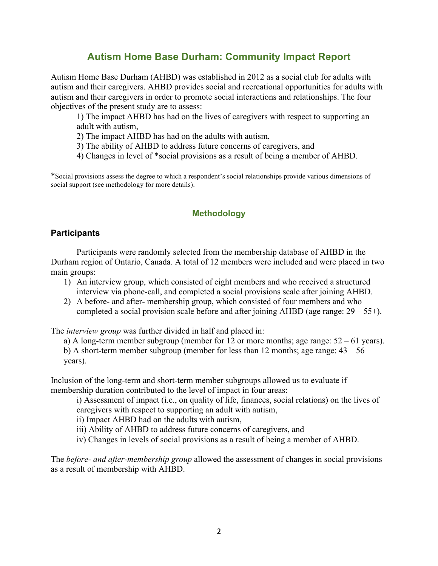# **Autism Home Base Durham: Community Impact Report**

Autism Home Base Durham (AHBD) was established in 2012 as a social club for adults with autism and their caregivers. AHBD provides social and recreational opportunities for adults with autism and their caregivers in order to promote social interactions and relationships. The four objectives of the present study are to assess:

1) The impact AHBD has had on the lives of caregivers with respect to supporting an adult with autism,

2) The impact AHBD has had on the adults with autism,

3) The ability of AHBD to address future concerns of caregivers, and

4) Changes in level of \*social provisions as a result of being a member of AHBD.

\*Social provisions assess the degree to which a respondent's social relationships provide various dimensions of social support (see methodology for more details).

# **Methodology**

# **Participants**

Participants were randomly selected from the membership database of AHBD in the Durham region of Ontario, Canada. A total of 12 members were included and were placed in two main groups:

- 1) An interview group, which consisted of eight members and who received a structured interview via phone-call, and completed a social provisions scale after joining AHBD.
- 2) A before- and after- membership group, which consisted of four members and who completed a social provision scale before and after joining AHBD (age range:  $29 - 55+$ ).

The *interview group* was further divided in half and placed in:

a) A long-term member subgroup (member for 12 or more months; age range:  $52 - 61$  years).

b) A short-term member subgroup (member for less than 12 months; age range:  $43 - 56$ years).

Inclusion of the long-term and short-term member subgroups allowed us to evaluate if membership duration contributed to the level of impact in four areas:

i) Assessment of impact (i.e., on quality of life, finances, social relations) on the lives of caregivers with respect to supporting an adult with autism,

ii) Impact AHBD had on the adults with autism,

iii) Ability of AHBD to address future concerns of caregivers, and

iv) Changes in levels of social provisions as a result of being a member of AHBD.

The *before- and after-membership group* allowed the assessment of changes in social provisions as a result of membership with AHBD.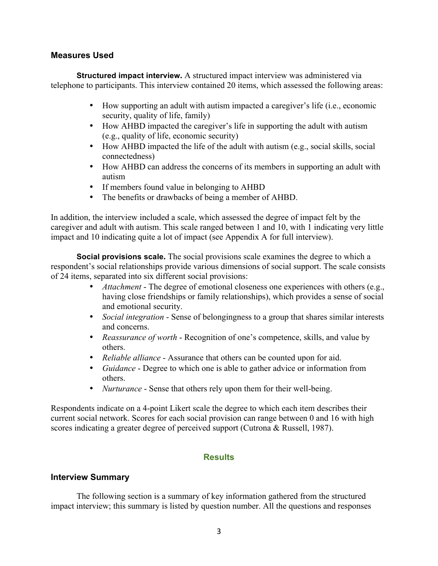# **Measures Used**

**Structured impact interview.** A structured impact interview was administered via telephone to participants. This interview contained 20 items, which assessed the following areas:

- How supporting an adult with autism impacted a caregiver's life (i.e., economic security, quality of life, family)
- How AHBD impacted the caregiver's life in supporting the adult with autism (e.g., quality of life, economic security)
- How AHBD impacted the life of the adult with autism (e.g., social skills, social connectedness)
- How AHBD can address the concerns of its members in supporting an adult with autism
- If members found value in belonging to AHBD
- The benefits or drawbacks of being a member of AHBD.

In addition, the interview included a scale, which assessed the degree of impact felt by the caregiver and adult with autism. This scale ranged between 1 and 10, with 1 indicating very little impact and 10 indicating quite a lot of impact (see Appendix A for full interview).

**Social provisions scale.** The social provisions scale examines the degree to which a respondent's social relationships provide various dimensions of social support. The scale consists of 24 items, separated into six different social provisions:

- *Attachment* The degree of emotional closeness one experiences with others (e.g., having close friendships or family relationships), which provides a sense of social and emotional security.
- *Social integration* Sense of belongingness to a group that shares similar interests and concerns.
- *Reassurance of worth* Recognition of one's competence, skills, and value by others.
- *Reliable alliance* Assurance that others can be counted upon for aid.
- *Guidance* Degree to which one is able to gather advice or information from others.
- *Nurturance* Sense that others rely upon them for their well-being.

Respondents indicate on a 4-point Likert scale the degree to which each item describes their current social network. Scores for each social provision can range between 0 and 16 with high scores indicating a greater degree of perceived support (Cutrona & Russell, 1987).

# **Results**

# **Interview Summary**

The following section is a summary of key information gathered from the structured impact interview; this summary is listed by question number. All the questions and responses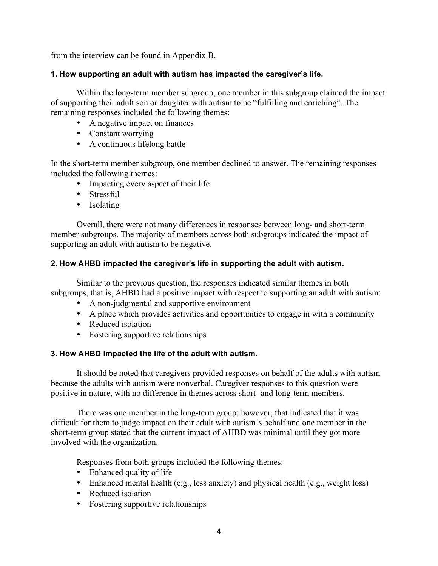from the interview can be found in Appendix B.

# **1. How supporting an adult with autism has impacted the caregiver's life.**

Within the long-term member subgroup, one member in this subgroup claimed the impact of supporting their adult son or daughter with autism to be "fulfilling and enriching". The remaining responses included the following themes:

- A negative impact on finances
- Constant worrying
- A continuous lifelong battle

In the short-term member subgroup, one member declined to answer. The remaining responses included the following themes:

- Impacting every aspect of their life
- Stressful
- Isolating

Overall, there were not many differences in responses between long- and short-term member subgroups. The majority of members across both subgroups indicated the impact of supporting an adult with autism to be negative.

# **2. How AHBD impacted the caregiver's life in supporting the adult with autism.**

Similar to the previous question, the responses indicated similar themes in both subgroups, that is, AHBD had a positive impact with respect to supporting an adult with autism:

- A non-judgmental and supportive environment
- A place which provides activities and opportunities to engage in with a community
- Reduced isolation
- Fostering supportive relationships

# **3. How AHBD impacted the life of the adult with autism.**

It should be noted that caregivers provided responses on behalf of the adults with autism because the adults with autism were nonverbal. Caregiver responses to this question were positive in nature, with no difference in themes across short- and long-term members.

There was one member in the long-term group; however, that indicated that it was difficult for them to judge impact on their adult with autism's behalf and one member in the short-term group stated that the current impact of AHBD was minimal until they got more involved with the organization.

Responses from both groups included the following themes:

- Enhanced quality of life
- Enhanced mental health (e.g., less anxiety) and physical health (e.g., weight loss)
- Reduced isolation
- Fostering supportive relationships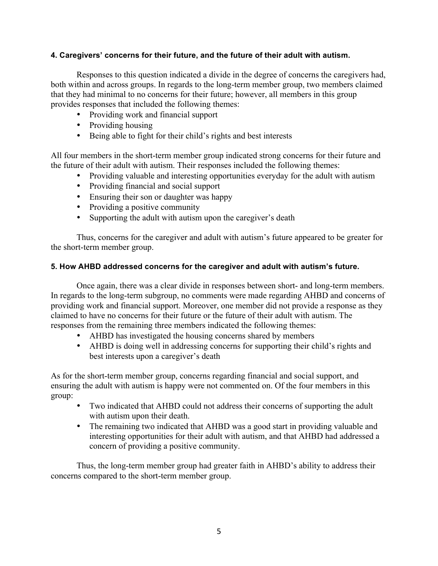# **4. Caregivers' concerns for their future, and the future of their adult with autism.**

Responses to this question indicated a divide in the degree of concerns the caregivers had, both within and across groups. In regards to the long-term member group, two members claimed that they had minimal to no concerns for their future; however, all members in this group provides responses that included the following themes:

- Providing work and financial support
- Providing housing
- Being able to fight for their child's rights and best interests

All four members in the short-term member group indicated strong concerns for their future and the future of their adult with autism. Their responses included the following themes:

- Providing valuable and interesting opportunities everyday for the adult with autism
- Providing financial and social support
- Ensuring their son or daughter was happy
- Providing a positive community
- Supporting the adult with autism upon the caregiver's death

Thus, concerns for the caregiver and adult with autism's future appeared to be greater for the short-term member group.

# **5. How AHBD addressed concerns for the caregiver and adult with autism's future.**

Once again, there was a clear divide in responses between short- and long-term members. In regards to the long-term subgroup, no comments were made regarding AHBD and concerns of providing work and financial support. Moreover, one member did not provide a response as they claimed to have no concerns for their future or the future of their adult with autism. The responses from the remaining three members indicated the following themes:

- AHBD has investigated the housing concerns shared by members
- AHBD is doing well in addressing concerns for supporting their child's rights and best interests upon a caregiver's death

As for the short-term member group, concerns regarding financial and social support, and ensuring the adult with autism is happy were not commented on. Of the four members in this group:

- Two indicated that AHBD could not address their concerns of supporting the adult with autism upon their death.
- The remaining two indicated that AHBD was a good start in providing valuable and interesting opportunities for their adult with autism, and that AHBD had addressed a concern of providing a positive community.

Thus, the long-term member group had greater faith in AHBD's ability to address their concerns compared to the short-term member group.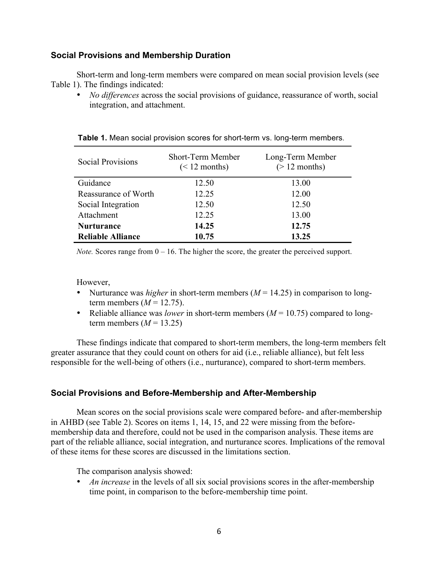# **Social Provisions and Membership Duration**

Short-term and long-term members were compared on mean social provision levels (see Table 1). The findings indicated:

• *No differences* across the social provisions of guidance, reassurance of worth, social integration, and attachment.

| <b>Social Provisions</b> | <b>Short-Term Member</b><br>$(< 12$ months) | Long-Term Member<br>$(> 12$ months) |
|--------------------------|---------------------------------------------|-------------------------------------|
| Guidance                 | 12.50                                       | 13.00                               |
| Reassurance of Worth     | 12 25                                       | 12.00                               |
| Social Integration       | 12.50                                       | 12.50                               |
| Attachment               | 12.25                                       | 13.00                               |
| <b>Nurturance</b>        | 14.25                                       | 12.75                               |
| <b>Reliable Alliance</b> | 10.75                                       | 13.25                               |

**Table 1.** Mean social provision scores for short-term vs. long-term members.

*Note.* Scores range from  $0 - 16$ . The higher the score, the greater the perceived support.

However,

- Nurturance was *higher* in short-term members  $(M = 14.25)$  in comparison to longterm members  $(M = 12.75)$ .
- Reliable alliance was *lower* in short-term members  $(M = 10.75)$  compared to longterm members  $(M = 13.25)$

These findings indicate that compared to short-term members, the long-term members felt greater assurance that they could count on others for aid (i.e., reliable alliance), but felt less responsible for the well-being of others (i.e., nurturance), compared to short-term members.

# **Social Provisions and Before-Membership and After-Membership**

Mean scores on the social provisions scale were compared before- and after-membership in AHBD (see Table 2). Scores on items 1, 14, 15, and 22 were missing from the beforemembership data and therefore, could not be used in the comparison analysis. These items are part of the reliable alliance, social integration, and nurturance scores. Implications of the removal of these items for these scores are discussed in the limitations section.

The comparison analysis showed:

• *An increase* in the levels of all six social provisions scores in the after-membership time point, in comparison to the before-membership time point.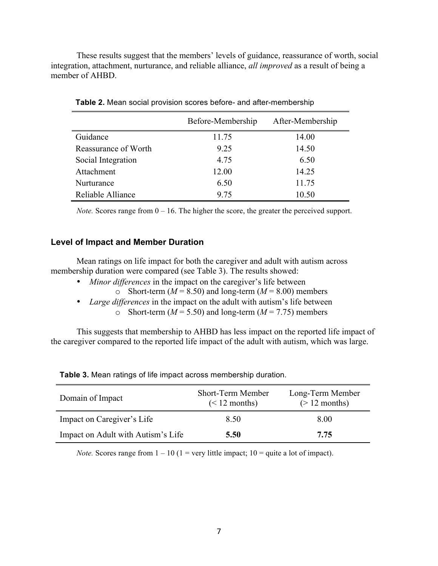These results suggest that the members' levels of guidance, reassurance of worth, social integration, attachment, nurturance, and reliable alliance, *all improved* as a result of being a member of AHBD.

|                      | Before-Membership | After-Membership |
|----------------------|-------------------|------------------|
| Guidance             | 11.75             | 14.00            |
| Reassurance of Worth | 9.25              | 14.50            |
| Social Integration   | 4.75              | 6.50             |
| Attachment           | 12.00             | 14.25            |
| Nurturance           | 6.50              | 11.75            |
| Reliable Alliance    | 9.75              | 10.50            |

**Table 2.** Mean social provision scores before- and after-membership

*Note.* Scores range from  $0 - 16$ . The higher the score, the greater the perceived support.

# **Level of Impact and Member Duration**

Mean ratings on life impact for both the caregiver and adult with autism across membership duration were compared (see Table 3). The results showed:

- *Minor differences* in the impact on the caregiver's life between
	- $\circ$  Short-term ( $M = 8.50$ ) and long-term ( $M = 8.00$ ) members
- *Large differences* in the impact on the adult with autism's life between
	- o Short-term  $(M = 5.50)$  and long-term  $(M = 7.75)$  members

This suggests that membership to AHBD has less impact on the reported life impact of the caregiver compared to the reported life impact of the adult with autism, which was large.

| Domain of Impact                   | Short-Term Member<br>$(< 12$ months) | Long-Term Member<br>$(> 12$ months) |
|------------------------------------|--------------------------------------|-------------------------------------|
| Impact on Caregiver's Life         | 8.50                                 | 8.00                                |
| Impact on Adult with Autism's Life | 5.50                                 | 7.75                                |

**Table 3.** Mean ratings of life impact across membership duration.

*Note.* Scores range from  $1 - 10$  ( $1 =$  very little impact;  $10 =$  quite a lot of impact).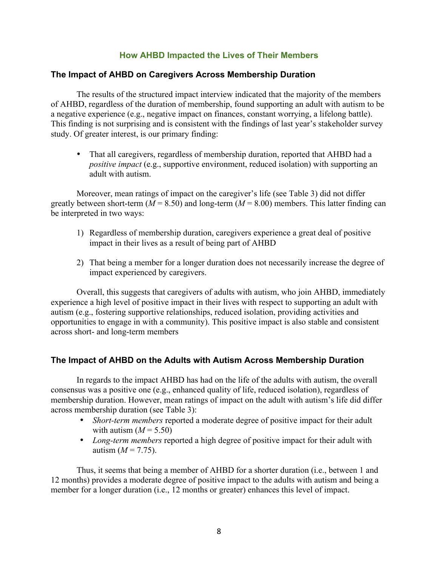# **How AHBD Impacted the Lives of Their Members**

# **The Impact of AHBD on Caregivers Across Membership Duration**

The results of the structured impact interview indicated that the majority of the members of AHBD, regardless of the duration of membership, found supporting an adult with autism to be a negative experience (e.g., negative impact on finances, constant worrying, a lifelong battle). This finding is not surprising and is consistent with the findings of last year's stakeholder survey study. Of greater interest, is our primary finding:

• That all caregivers, regardless of membership duration, reported that AHBD had a *positive impact* (e.g., supportive environment, reduced isolation) with supporting an adult with autism.

Moreover, mean ratings of impact on the caregiver's life (see Table 3) did not differ greatly between short-term ( $M = 8.50$ ) and long-term ( $M = 8.00$ ) members. This latter finding can be interpreted in two ways:

- 1) Regardless of membership duration, caregivers experience a great deal of positive impact in their lives as a result of being part of AHBD
- 2) That being a member for a longer duration does not necessarily increase the degree of impact experienced by caregivers.

Overall, this suggests that caregivers of adults with autism, who join AHBD, immediately experience a high level of positive impact in their lives with respect to supporting an adult with autism (e.g., fostering supportive relationships, reduced isolation, providing activities and opportunities to engage in with a community). This positive impact is also stable and consistent across short- and long-term members

# **The Impact of AHBD on the Adults with Autism Across Membership Duration**

In regards to the impact AHBD has had on the life of the adults with autism, the overall consensus was a positive one (e.g., enhanced quality of life, reduced isolation), regardless of membership duration. However, mean ratings of impact on the adult with autism's life did differ across membership duration (see Table 3):

- *Short-term members* reported a moderate degree of positive impact for their adult with autism  $(M = 5.50)$
- *Long-term members* reported a high degree of positive impact for their adult with autism  $(M = 7.75)$ .

Thus, it seems that being a member of AHBD for a shorter duration (i.e., between 1 and 12 months) provides a moderate degree of positive impact to the adults with autism and being a member for a longer duration (i.e., 12 months or greater) enhances this level of impact.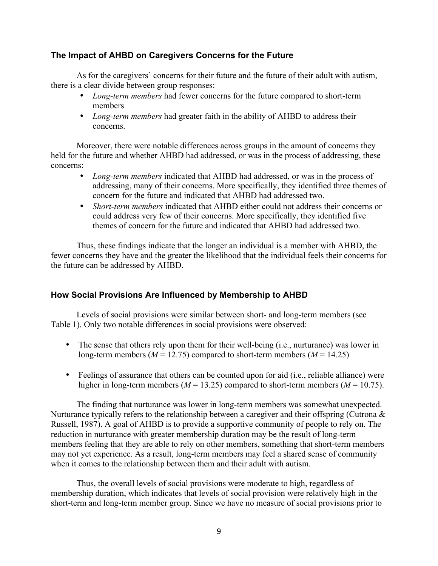# **The Impact of AHBD on Caregivers Concerns for the Future**

As for the caregivers' concerns for their future and the future of their adult with autism, there is a clear divide between group responses:

- *Long-term members* had fewer concerns for the future compared to short-term members
- *Long-term members* had greater faith in the ability of AHBD to address their concerns.

Moreover, there were notable differences across groups in the amount of concerns they held for the future and whether AHBD had addressed, or was in the process of addressing, these concerns:

- *Long-term members* indicated that AHBD had addressed, or was in the process of addressing, many of their concerns. More specifically, they identified three themes of concern for the future and indicated that AHBD had addressed two.
- *Short-term members* indicated that AHBD either could not address their concerns or could address very few of their concerns. More specifically, they identified five themes of concern for the future and indicated that AHBD had addressed two.

Thus, these findings indicate that the longer an individual is a member with AHBD, the fewer concerns they have and the greater the likelihood that the individual feels their concerns for the future can be addressed by AHBD.

# **How Social Provisions Are Influenced by Membership to AHBD**

Levels of social provisions were similar between short- and long-term members (see Table 1). Only two notable differences in social provisions were observed:

- The sense that others rely upon them for their well-being (i.e., nurturance) was lower in long-term members ( $M = 12.75$ ) compared to short-term members ( $M = 14.25$ )
- Feelings of assurance that others can be counted upon for aid (i.e., reliable alliance) were higher in long-term members ( $M = 13.25$ ) compared to short-term members ( $M = 10.75$ ).

The finding that nurturance was lower in long-term members was somewhat unexpected. Nurturance typically refers to the relationship between a caregiver and their offspring (Cutrona  $\&$ Russell, 1987). A goal of AHBD is to provide a supportive community of people to rely on. The reduction in nurturance with greater membership duration may be the result of long-term members feeling that they are able to rely on other members, something that short-term members may not yet experience. As a result, long-term members may feel a shared sense of community when it comes to the relationship between them and their adult with autism.

Thus, the overall levels of social provisions were moderate to high, regardless of membership duration, which indicates that levels of social provision were relatively high in the short-term and long-term member group. Since we have no measure of social provisions prior to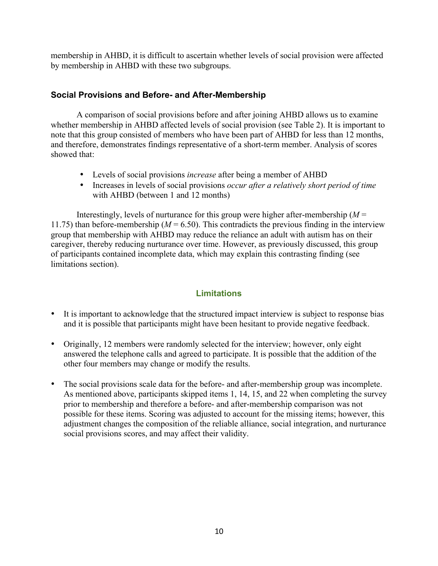membership in AHBD, it is difficult to ascertain whether levels of social provision were affected by membership in AHBD with these two subgroups.

# **Social Provisions and Before- and After-Membership**

A comparison of social provisions before and after joining AHBD allows us to examine whether membership in AHBD affected levels of social provision (see Table 2). It is important to note that this group consisted of members who have been part of AHBD for less than 12 months, and therefore, demonstrates findings representative of a short-term member. Analysis of scores showed that:

- Levels of social provisions *increase* after being a member of AHBD
- Increases in levels of social provisions *occur after a relatively short period of time* with AHBD (between 1 and 12 months)

Interestingly, levels of nurturance for this group were higher after-membership  $(M =$ 11.75) than before-membership ( $M = 6.50$ ). This contradicts the previous finding in the interview group that membership with AHBD may reduce the reliance an adult with autism has on their caregiver, thereby reducing nurturance over time. However, as previously discussed, this group of participants contained incomplete data, which may explain this contrasting finding (see limitations section).

# **Limitations**

- It is important to acknowledge that the structured impact interview is subject to response bias and it is possible that participants might have been hesitant to provide negative feedback.
- Originally, 12 members were randomly selected for the interview; however, only eight answered the telephone calls and agreed to participate. It is possible that the addition of the other four members may change or modify the results.
- The social provisions scale data for the before- and after-membership group was incomplete. As mentioned above, participants skipped items 1, 14, 15, and 22 when completing the survey prior to membership and therefore a before- and after-membership comparison was not possible for these items. Scoring was adjusted to account for the missing items; however, this adjustment changes the composition of the reliable alliance, social integration, and nurturance social provisions scores, and may affect their validity.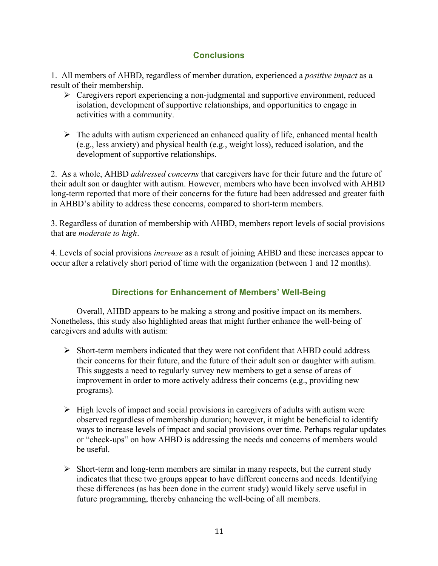# **Conclusions**

1. All members of AHBD, regardless of member duration, experienced a *positive impact* as a result of their membership.

- $\triangleright$  Caregivers report experiencing a non-judgmental and supportive environment, reduced isolation, development of supportive relationships, and opportunities to engage in activities with a community.
- $\triangleright$  The adults with autism experienced an enhanced quality of life, enhanced mental health (e.g., less anxiety) and physical health (e.g., weight loss), reduced isolation, and the development of supportive relationships.

2. As a whole, AHBD *addressed concerns* that caregivers have for their future and the future of their adult son or daughter with autism. However, members who have been involved with AHBD long-term reported that more of their concerns for the future had been addressed and greater faith in AHBD's ability to address these concerns, compared to short-term members.

3. Regardless of duration of membership with AHBD, members report levels of social provisions that are *moderate to high*.

4. Levels of social provisions *increase* as a result of joining AHBD and these increases appear to occur after a relatively short period of time with the organization (between 1 and 12 months).

# **Directions for Enhancement of Members' Well-Being**

Overall, AHBD appears to be making a strong and positive impact on its members. Nonetheless, this study also highlighted areas that might further enhance the well-being of caregivers and adults with autism:

- $\triangleright$  Short-term members indicated that they were not confident that AHBD could address their concerns for their future, and the future of their adult son or daughter with autism. This suggests a need to regularly survey new members to get a sense of areas of improvement in order to more actively address their concerns (e.g., providing new programs).
- $\triangleright$  High levels of impact and social provisions in caregivers of adults with autism were observed regardless of membership duration; however, it might be beneficial to identify ways to increase levels of impact and social provisions over time. Perhaps regular updates or "check-ups" on how AHBD is addressing the needs and concerns of members would be useful.
- $\triangleright$  Short-term and long-term members are similar in many respects, but the current study indicates that these two groups appear to have different concerns and needs. Identifying these differences (as has been done in the current study) would likely serve useful in future programming, thereby enhancing the well-being of all members.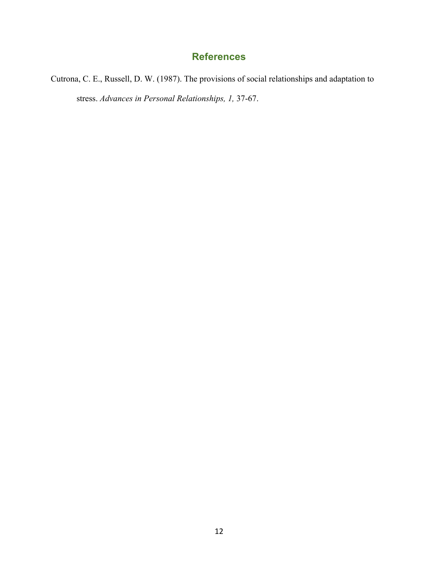# **References**

Cutrona, C. E., Russell, D. W. (1987). The provisions of social relationships and adaptation to stress. *Advances in Personal Relationships, 1,* 37-67.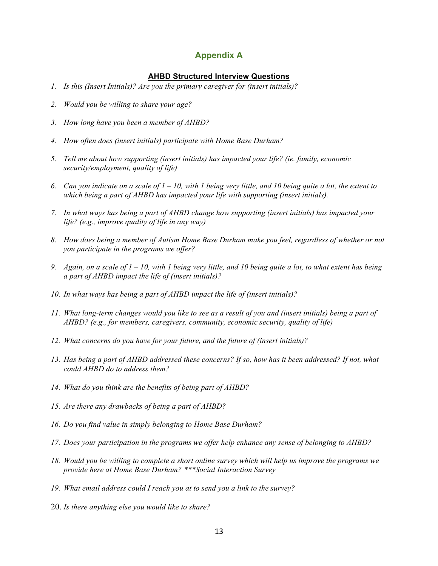# **Appendix A**

# **AHBD Structured Interview Questions**

- *1. Is this (Insert Initials)? Are you the primary caregiver for (insert initials)?*
- *2. Would you be willing to share your age?*
- *3. How long have you been a member of AHBD?*
- *4. How often does (insert initials) participate with Home Base Durham?*
- *5. Tell me about how supporting (insert initials) has impacted your life? (ie. family, economic security/employment, quality of life)*
- *6. Can you indicate on a scale of 1 – 10, with 1 being very little, and 10 being quite a lot, the extent to which being a part of AHBD has impacted your life with supporting (insert initials).*
- *7. In what ways has being a part of AHBD change how supporting (insert initials) has impacted your life? (e.g., improve quality of life in any way)*
- *8. How does being a member of Autism Home Base Durham make you feel, regardless of whether or not you participate in the programs we offer?*
- *9. Again, on a scale of 1 – 10, with 1 being very little, and 10 being quite a lot, to what extent has being a part of AHBD impact the life of (insert initials)?*
- *10. In what ways has being a part of AHBD impact the life of (insert initials)?*
- *11. What long-term changes would you like to see as a result of you and (insert initials) being a part of AHBD? (e.g., for members, caregivers, community, economic security, quality of life)*
- *12. What concerns do you have for your future, and the future of (insert initials)?*
- *13. Has being a part of AHBD addressed these concerns? If so, how has it been addressed? If not, what could AHBD do to address them?*
- *14. What do you think are the benefits of being part of AHBD?*
- *15. Are there any drawbacks of being a part of AHBD?*
- *16. Do you find value in simply belonging to Home Base Durham?*
- *17. Does your participation in the programs we offer help enhance any sense of belonging to AHBD?*
- *18. Would you be willing to complete a short online survey which will help us improve the programs we provide here at Home Base Durham? \*\*\*Social Interaction Survey*
- *19. What email address could I reach you at to send you a link to the survey?*
- 20. *Is there anything else you would like to share?*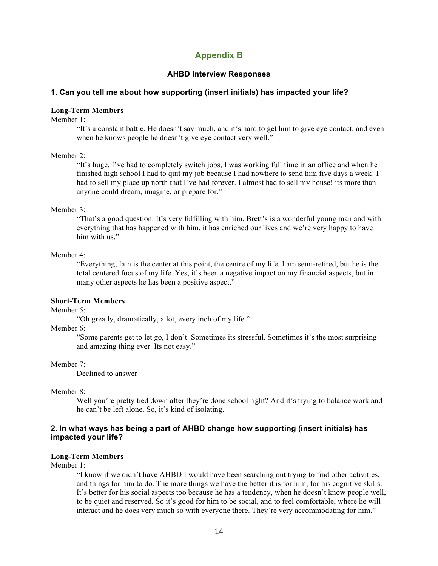# **Appendix B**

### **AHBD Interview Responses**

#### **1. Can you tell me about how supporting (insert initials) has impacted your life?**

# **Long-Term Members**

Member 1:

"It's a constant battle. He doesn't say much, and it's hard to get him to give eye contact, and even when he knows people he doesn't give eye contact very well."

### Member 2:

"It's huge, I've had to completely switch jobs, I was working full time in an office and when he finished high school I had to quit my job because I had nowhere to send him five days a week! I had to sell my place up north that I've had forever. I almost had to sell my house! its more than anyone could dream, imagine, or prepare for."

#### Member 3:

"That's a good question. It's very fulfilling with him. Brett's is a wonderful young man and with everything that has happened with him, it has enriched our lives and we're very happy to have him with us."

### Member 4:

"Everything, Iain is the center at this point, the centre of my life. I am semi-retired, but he is the total centered focus of my life. Yes, it's been a negative impact on my financial aspects, but in many other aspects he has been a positive aspect."

#### **Short-Term Members**

Member 5:

"Oh greatly, dramatically, a lot, every inch of my life."

## Member 6:

"Some parents get to let go, I don't. Sometimes its stressful. Sometimes it's the most surprising and amazing thing ever. Its not easy."

#### Member 7:

Declined to answer

#### Member 8:

Well you're pretty tied down after they're done school right? And it's trying to balance work and he can't be left alone. So, it's kind of isolating.

# **2. In what ways has being a part of AHBD change how supporting (insert initials) has impacted your life?**

#### **Long-Term Members**

Member 1:

"I know if we didn't have AHBD I would have been searching out trying to find other activities, and things for him to do. The more things we have the better it is for him, for his cognitive skills. It's better for his social aspects too because he has a tendency, when he doesn't know people well, to be quiet and reserved. So it's good for him to be social, and to feel comfortable, where he will interact and he does very much so with everyone there. They're very accommodating for him."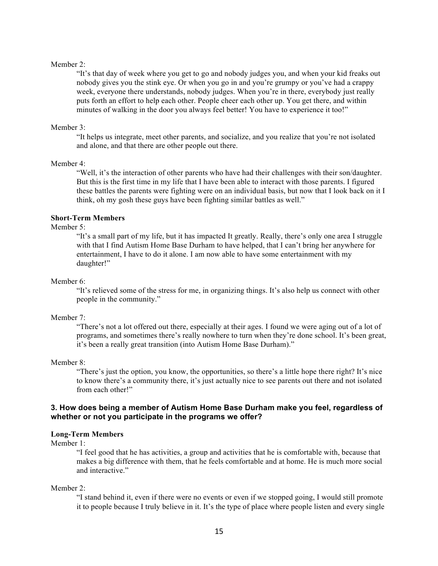#### Member 2:

"It's that day of week where you get to go and nobody judges you, and when your kid freaks out nobody gives you the stink eye. Or when you go in and you're grumpy or you've had a crappy week, everyone there understands, nobody judges. When you're in there, everybody just really puts forth an effort to help each other. People cheer each other up. You get there, and within minutes of walking in the door you always feel better! You have to experience it too!"

#### Member 3<sup>.</sup>

"It helps us integrate, meet other parents, and socialize, and you realize that you're not isolated and alone, and that there are other people out there.

#### Member 4:

"Well, it's the interaction of other parents who have had their challenges with their son/daughter. But this is the first time in my life that I have been able to interact with those parents. I figured these battles the parents were fighting were on an individual basis, but now that I look back on it I think, oh my gosh these guys have been fighting similar battles as well."

# **Short-Term Members**

#### Member 5:

"It's a small part of my life, but it has impacted It greatly. Really, there's only one area I struggle with that I find Autism Home Base Durham to have helped, that I can't bring her anywhere for entertainment, I have to do it alone. I am now able to have some entertainment with my daughter!"

#### Member 6:

"It's relieved some of the stress for me, in organizing things. It's also help us connect with other people in the community."

#### Member 7:

"There's not a lot offered out there, especially at their ages. I found we were aging out of a lot of programs, and sometimes there's really nowhere to turn when they're done school. It's been great, it's been a really great transition (into Autism Home Base Durham)."

#### Member 8:

"There's just the option, you know, the opportunities, so there's a little hope there right? It's nice to know there's a community there, it's just actually nice to see parents out there and not isolated from each other!"

### **3. How does being a member of Autism Home Base Durham make you feel, regardless of whether or not you participate in the programs we offer?**

#### **Long-Term Members**

Member 1:

"I feel good that he has activities, a group and activities that he is comfortable with, because that makes a big difference with them, that he feels comfortable and at home. He is much more social and interactive."

#### Member 2:

"I stand behind it, even if there were no events or even if we stopped going, I would still promote it to people because I truly believe in it. It's the type of place where people listen and every single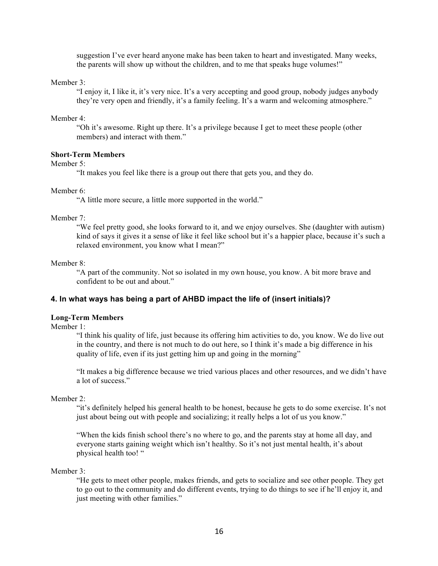suggestion I've ever heard anyone make has been taken to heart and investigated. Many weeks, the parents will show up without the children, and to me that speaks huge volumes!"

Member 3:

"I enjoy it, I like it, it's very nice. It's a very accepting and good group, nobody judges anybody they're very open and friendly, it's a family feeling. It's a warm and welcoming atmosphere."

Member 4:

"Oh it's awesome. Right up there. It's a privilege because I get to meet these people (other members) and interact with them."

### **Short-Term Members**

### Member 5<sup>.</sup>

"It makes you feel like there is a group out there that gets you, and they do.

#### Member 6:

"A little more secure, a little more supported in the world."

#### Member 7:

"We feel pretty good, she looks forward to it, and we enjoy ourselves. She (daughter with autism) kind of says it gives it a sense of like it feel like school but it's a happier place, because it's such a relaxed environment, you know what I mean?"

### Member 8:

"A part of the community. Not so isolated in my own house, you know. A bit more brave and confident to be out and about."

# **4. In what ways has being a part of AHBD impact the life of (insert initials)?**

# **Long-Term Members**

Member 1:

"I think his quality of life, just because its offering him activities to do, you know. We do live out in the country, and there is not much to do out here, so I think it's made a big difference in his quality of life, even if its just getting him up and going in the morning"

"It makes a big difference because we tried various places and other resources, and we didn't have a lot of success."

#### Member 2:

"it's definitely helped his general health to be honest, because he gets to do some exercise. It's not just about being out with people and socializing; it really helps a lot of us you know."

"When the kids finish school there's no where to go, and the parents stay at home all day, and everyone starts gaining weight which isn't healthy. So it's not just mental health, it's about physical health too! "

Member 3:

"He gets to meet other people, makes friends, and gets to socialize and see other people. They get to go out to the community and do different events, trying to do things to see if he'll enjoy it, and just meeting with other families."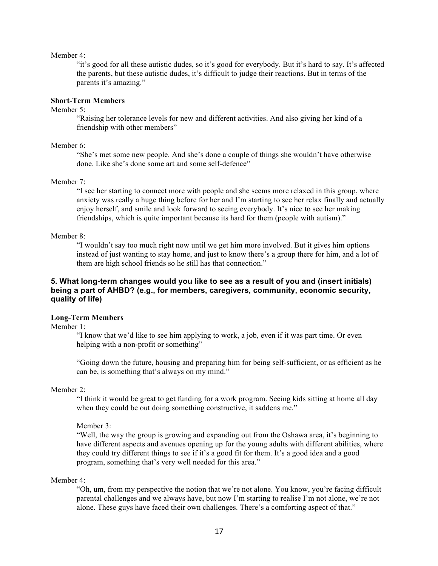#### Member 4:

"it's good for all these autistic dudes, so it's good for everybody. But it's hard to say. It's affected the parents, but these autistic dudes, it's difficult to judge their reactions. But in terms of the parents it's amazing."

# **Short-Term Members**

#### Member 5<sup>.</sup>

"Raising her tolerance levels for new and different activities. And also giving her kind of a friendship with other members"

#### Member 6:

"She's met some new people. And she's done a couple of things she wouldn't have otherwise done. Like she's done some art and some self-defence"

### Member 7:

"I see her starting to connect more with people and she seems more relaxed in this group, where anxiety was really a huge thing before for her and I'm starting to see her relax finally and actually enjoy herself, and smile and look forward to seeing everybody. It's nice to see her making friendships, which is quite important because its hard for them (people with autism)."

#### Member 8:

"I wouldn't say too much right now until we get him more involved. But it gives him options instead of just wanting to stay home, and just to know there's a group there for him, and a lot of them are high school friends so he still has that connection."

# **5. What long-term changes would you like to see as a result of you and (insert initials) being a part of AHBD? (e.g., for members, caregivers, community, economic security, quality of life)**

#### **Long-Term Members**

Member 1:

"I know that we'd like to see him applying to work, a job, even if it was part time. Or even helping with a non-profit or something"

"Going down the future, housing and preparing him for being self-sufficient, or as efficient as he can be, is something that's always on my mind."

#### Member 2:

"I think it would be great to get funding for a work program. Seeing kids sitting at home all day when they could be out doing something constructive, it saddens me."

#### Member 3:

"Well, the way the group is growing and expanding out from the Oshawa area, it's beginning to have different aspects and avenues opening up for the young adults with different abilities, where they could try different things to see if it's a good fit for them. It's a good idea and a good program, something that's very well needed for this area."

### Member 4:

"Oh, um, from my perspective the notion that we're not alone. You know, you're facing difficult parental challenges and we always have, but now I'm starting to realise I'm not alone, we're not alone. These guys have faced their own challenges. There's a comforting aspect of that."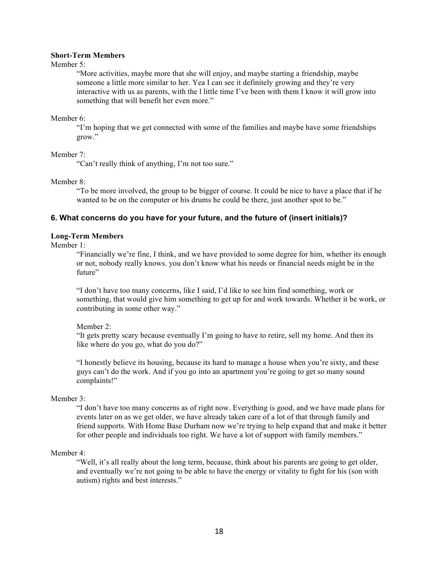## **Short-Term Members**

#### Member 5<sup>.</sup>

"More activities, maybe more that she will enjoy, and maybe starting a friendship, maybe someone a little more similar to her. Yea I can see it definitely growing and they're very interactive with us as parents, with the l little time I've been with them I know it will grow into something that will benefit her even more."

### Member 6:

"I'm hoping that we get connected with some of the families and maybe have some friendships grow."

### Member 7:

"Can't really think of anything, I'm not too sure."

### Member 8:

"To be more involved, the group to be bigger of course. It could be nice to have a place that if he wanted to be on the computer or his drums he could be there, just another spot to be."

# **6. What concerns do you have for your future, and the future of (insert initials)?**

### **Long-Term Members**

Member 1:

"Financially we're fine, I think, and we have provided to some degree for him, whether its enough or not, nobody really knows. you don't know what his needs or financial needs might be in the future"

"I don't have too many concerns, like I said, I'd like to see him find something, work or something, that would give him something to get up for and work towards. Whether it be work, or contributing in some other way."

# Member 2:

"It gets pretty scary because eventually I'm going to have to retire, sell my home. And then its like where do you go, what do you do?"

"I honestly believe its housing, because its hard to manage a house when you're sixty, and these guys can't do the work. And if you go into an apartment you're going to get so many sound complaints!"

# Member 3<sup>.</sup>

"I don't have too many concerns as of right now. Everything is good, and we have made plans for events later on as we get older, we have already taken care of a lot of that through family and friend supports. With Home Base Durham now we're trying to help expand that and make it better for other people and individuals too right. We have a lot of support with family members."

#### Member 4:

"Well, it's all really about the long term, because, think about his parents are going to get older, and eventually we're not going to be able to have the energy or vitality to fight for his (son with autism) rights and best interests."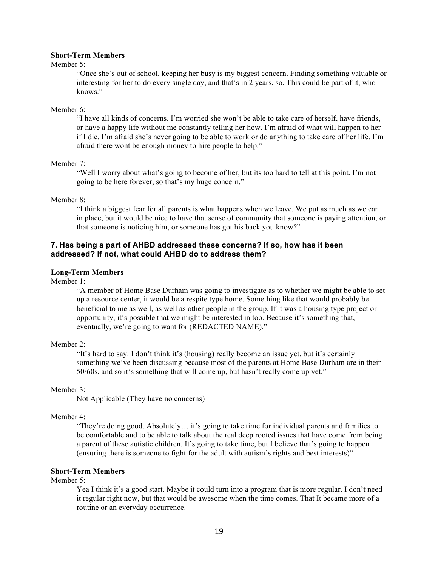## **Short-Term Members**

#### Member 5<sup>.</sup>

"Once she's out of school, keeping her busy is my biggest concern. Finding something valuable or interesting for her to do every single day, and that's in 2 years, so. This could be part of it, who knows."

#### Member 6:

"I have all kinds of concerns. I'm worried she won't be able to take care of herself, have friends, or have a happy life without me constantly telling her how. I'm afraid of what will happen to her if I die. I'm afraid she's never going to be able to work or do anything to take care of her life. I'm afraid there wont be enough money to hire people to help."

#### Member 7:

"Well I worry about what's going to become of her, but its too hard to tell at this point. I'm not going to be here forever, so that's my huge concern."

### Member 8:

"I think a biggest fear for all parents is what happens when we leave. We put as much as we can in place, but it would be nice to have that sense of community that someone is paying attention, or that someone is noticing him, or someone has got his back you know?"

# **7. Has being a part of AHBD addressed these concerns? If so, how has it been addressed? If not, what could AHBD do to address them?**

#### **Long-Term Members**

Member 1:

"A member of Home Base Durham was going to investigate as to whether we might be able to set up a resource center, it would be a respite type home. Something like that would probably be beneficial to me as well, as well as other people in the group. If it was a housing type project or opportunity, it's possible that we might be interested in too. Because it's something that, eventually, we're going to want for (REDACTED NAME)."

#### Member 2:

"It's hard to say. I don't think it's (housing) really become an issue yet, but it's certainly something we've been discussing because most of the parents at Home Base Durham are in their 50/60s, and so it's something that will come up, but hasn't really come up yet."

#### Member 3:

Not Applicable (They have no concerns)

#### Member 4:

"They're doing good. Absolutely… it's going to take time for individual parents and families to be comfortable and to be able to talk about the real deep rooted issues that have come from being a parent of these autistic children. It's going to take time, but I believe that's going to happen (ensuring there is someone to fight for the adult with autism's rights and best interests)"

#### **Short-Term Members**

Member 5:

Yea I think it's a good start. Maybe it could turn into a program that is more regular. I don't need it regular right now, but that would be awesome when the time comes. That It became more of a routine or an everyday occurrence.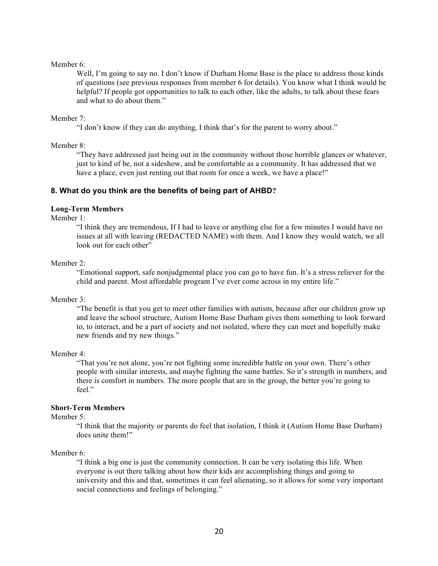#### Member 6:

Well, I'm going to say no. I don't know if Durham Home Base is the place to address those kinds of questions (see previous responses from member 6 for details). You know what I think would be helpful? If people got opportunities to talk to each other, like the adults, to talk about these fears and what to do about them."

#### Member 7:

"I don't know if they can do anything, I think that's for the parent to worry about."

### Member 8:

"They have addressed just being out in the community without those horrible glances or whatever, just to kind of be, not a sideshow, and be comfortable as a community. It has addressed that we have a place, even just renting out that room for once a week, we have a place!"

# **8. What do you think are the benefits of being part of AHBD?**

### **Long-Term Members**

Member 1:

"I think they are tremendous, If I had to leave or anything else for a few minutes I would have no issues at all with leaving (REDACTED NAME) with them. And I know they would watch, we all look out for each other"

### Member 2:

"Emotional support, safe nonjudgmental place you can go to have fun. It's a stress reliever for the child and parent. Most affordable program I've ever come across in my entire life."

#### Member 3:

"The benefit is that you get to meet other families with autism, because after our children grow up and leave the school structure, Autism Home Base Durham gives them something to look forward to, to interact, and be a part of society and not isolated, where they can meet and hopefully make new friends and try new things."

#### Member 4:

"That you're not alone, you're not fighting some incredible battle on your own. There's other people with similar interests, and maybe fighting the same battles. So it's strength in numbers, and there is comfort in numbers. The more people that are in the group, the better you're going to feel."

# **Short-Term Members**

#### Member 5:

"I think that the majority or parents do feel that isolation, I think it (Autism Home Base Durham) does unite them!"

#### Member 6:

"I think a big one is just the community connection. It can be very isolating this life. When everyone is out there talking about how their kids are accomplishing things and going to university and this and that, sometimes it can feel alienating, so it allows for some very important social connections and feelings of belonging."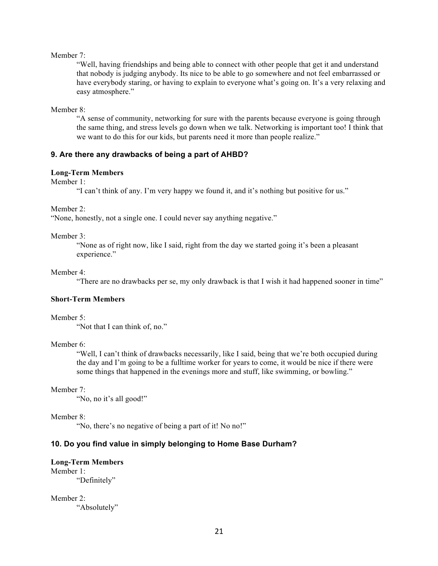Member 7:

"Well, having friendships and being able to connect with other people that get it and understand that nobody is judging anybody. Its nice to be able to go somewhere and not feel embarrassed or have everybody staring, or having to explain to everyone what's going on. It's a very relaxing and easy atmosphere."

Member 8:

"A sense of community, networking for sure with the parents because everyone is going through the same thing, and stress levels go down when we talk. Networking is important too! I think that we want to do this for our kids, but parents need it more than people realize."

### **9. Are there any drawbacks of being a part of AHBD?**

# **Long-Term Members**

Member 1:

"I can't think of any. I'm very happy we found it, and it's nothing but positive for us."

Member 2:

"None, honestly, not a single one. I could never say anything negative."

#### Member 3:

"None as of right now, like I said, right from the day we started going it's been a pleasant experience."

Member 4:

"There are no drawbacks per se, my only drawback is that I wish it had happened sooner in time"

# **Short-Term Members**

#### Member 5<sup>.</sup>

"Not that I can think of, no."

#### Member 6:

"Well, I can't think of drawbacks necessarily, like I said, being that we're both occupied during the day and I'm going to be a fulltime worker for years to come, it would be nice if there were some things that happened in the evenings more and stuff, like swimming, or bowling."

#### Member 7:

"No, no it's all good!"

#### Member 8:

"No, there's no negative of being a part of it! No no!"

# **10. Do you find value in simply belonging to Home Base Durham?**

# **Long-Term Members**

Member 1: "Definitely"

Member 2: "Absolutely"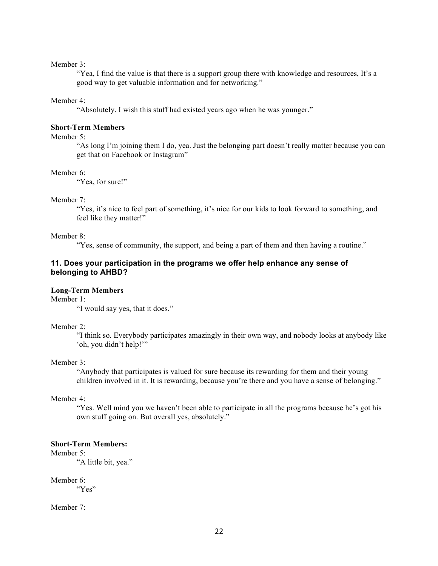#### Member 3<sup>.</sup>

"Yea, I find the value is that there is a support group there with knowledge and resources, It's a good way to get valuable information and for networking."

#### Member 4:

"Absolutely. I wish this stuff had existed years ago when he was younger."

# **Short-Term Members**

Member 5<sup>.</sup>

"As long I'm joining them I do, yea. Just the belonging part doesn't really matter because you can get that on Facebook or Instagram"

#### Member 6:

"Yea, for sure!"

### Member 7:

"Yes, it's nice to feel part of something, it's nice for our kids to look forward to something, and feel like they matter!"

# Member 8:

"Yes, sense of community, the support, and being a part of them and then having a routine."

# **11. Does your participation in the programs we offer help enhance any sense of belonging to AHBD?**

### **Long-Term Members**

Member 1:

"I would say yes, that it does."

#### Member 2:

"I think so. Everybody participates amazingly in their own way, and nobody looks at anybody like 'oh, you didn't help!'"

#### Member 3:

"Anybody that participates is valued for sure because its rewarding for them and their young children involved in it. It is rewarding, because you're there and you have a sense of belonging."

#### Member 4:

"Yes. Well mind you we haven't been able to participate in all the programs because he's got his own stuff going on. But overall yes, absolutely."

#### **Short-Term Members:**

Member 5:

"A little bit, yea."

Member 6: "Yes"

Member 7: